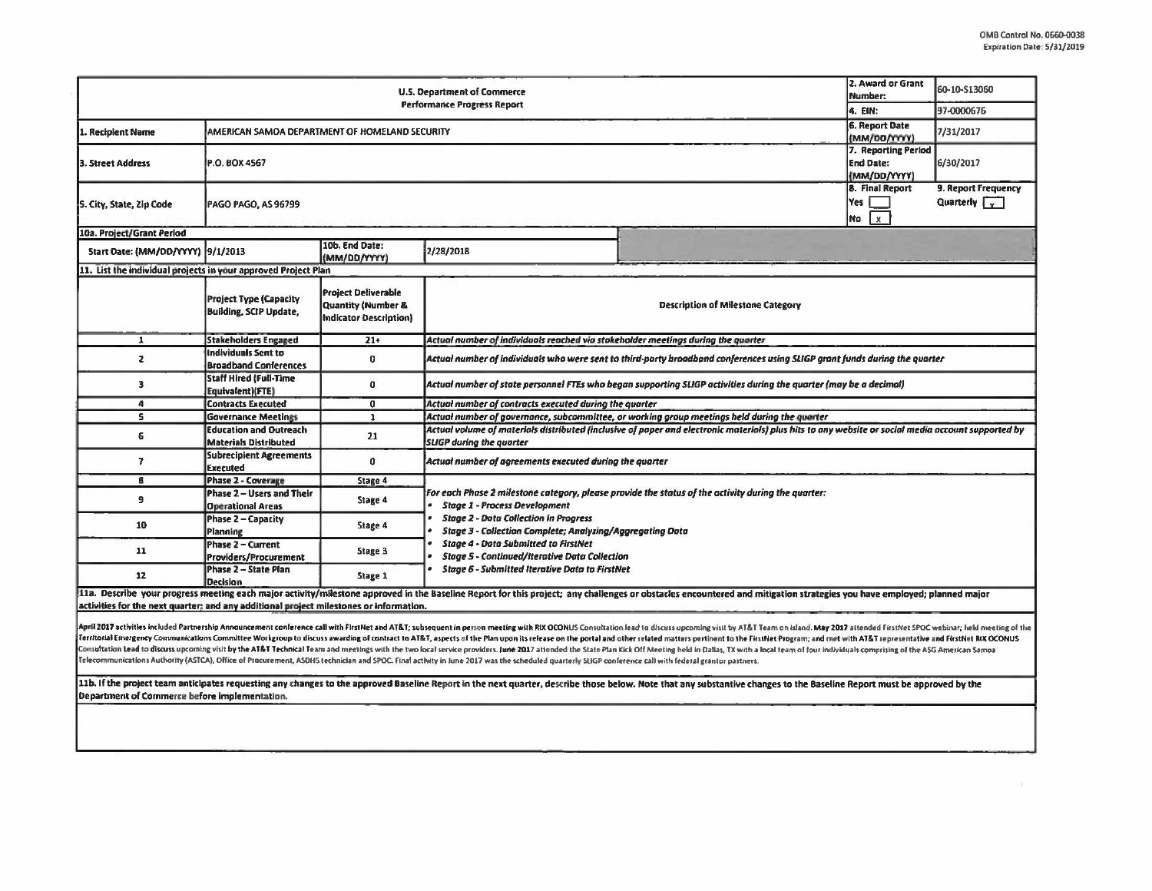| <b>U.S. Department of Commerce</b>                                                     |                                                                |                                                                                   |                                                                                                                                                                                                                                                                                                                                                                                                                                |                                                                                                                                                                                                                        |         | 60-10-513060                                |  |  |  |
|----------------------------------------------------------------------------------------|----------------------------------------------------------------|-----------------------------------------------------------------------------------|--------------------------------------------------------------------------------------------------------------------------------------------------------------------------------------------------------------------------------------------------------------------------------------------------------------------------------------------------------------------------------------------------------------------------------|------------------------------------------------------------------------------------------------------------------------------------------------------------------------------------------------------------------------|---------|---------------------------------------------|--|--|--|
| <b>Performance Progress Report</b>                                                     |                                                                |                                                                                   |                                                                                                                                                                                                                                                                                                                                                                                                                                |                                                                                                                                                                                                                        | 4. EIN: | 97-0000676                                  |  |  |  |
| 1. Recipient Name                                                                      | AMERICAN SAMOA DEPARTMENT OF HOMELAND SECURITY                 |                                                                                   |                                                                                                                                                                                                                                                                                                                                                                                                                                |                                                                                                                                                                                                                        |         | 7/31/2017                                   |  |  |  |
| 3. Street Address                                                                      | P.O. BOX 4567                                                  |                                                                                   |                                                                                                                                                                                                                                                                                                                                                                                                                                |                                                                                                                                                                                                                        |         | 7. Reporting Period<br>6/30/2017            |  |  |  |
| 5. City, State, Zip Code                                                               | PAGO PAGO, AS 96799                                            |                                                                                   |                                                                                                                                                                                                                                                                                                                                                                                                                                |                                                                                                                                                                                                                        |         | 9. Report Frequency<br>Quarterly $\sqrt{v}$ |  |  |  |
| 10a. Project/Grant Period                                                              |                                                                |                                                                                   |                                                                                                                                                                                                                                                                                                                                                                                                                                |                                                                                                                                                                                                                        |         |                                             |  |  |  |
| Start Date: (MM/DD/YYYY) 9/1/2013                                                      |                                                                | 10b. End Date:<br>(MM/DD/YYYY)                                                    | 2/28/2018                                                                                                                                                                                                                                                                                                                                                                                                                      |                                                                                                                                                                                                                        |         |                                             |  |  |  |
| 11. List the individual projects in your approved Project Plan                         |                                                                |                                                                                   |                                                                                                                                                                                                                                                                                                                                                                                                                                |                                                                                                                                                                                                                        |         |                                             |  |  |  |
|                                                                                        | <b>Project Type (Capacity</b><br><b>Building, SCIP Update,</b> | <b>Project Deliverable</b><br>Quantity (Number &<br><b>Indicator Description)</b> | <b>Description of Milestone Category</b>                                                                                                                                                                                                                                                                                                                                                                                       |                                                                                                                                                                                                                        |         |                                             |  |  |  |
| $\mathbf{1}$                                                                           | <b>Stakeholders Engaged</b>                                    | $21+$                                                                             | Actual number of individuals reached via stakeholder meetings during the quarter                                                                                                                                                                                                                                                                                                                                               |                                                                                                                                                                                                                        |         |                                             |  |  |  |
| $\mathbf{z}$                                                                           | <b>Individuals Sent to</b><br><b>Broadband Conferences</b>     | 0                                                                                 | Actual number of individuals who were sent to third-party broadband conferences using SLIGP grant funds during the quarter.                                                                                                                                                                                                                                                                                                    |                                                                                                                                                                                                                        |         |                                             |  |  |  |
| 3                                                                                      | <b>Staff Hired (Full-Time</b><br>Equivalent)(FTE)              | $\mathbf{0}$                                                                      | Actual number of state personnel FTEs who began supporting SLIGP activities during the quarter (may be a decimal)                                                                                                                                                                                                                                                                                                              |                                                                                                                                                                                                                        |         |                                             |  |  |  |
| 4                                                                                      | <b>Contracts Executed</b>                                      | 0                                                                                 | Actual number of contracts executed during the quarter                                                                                                                                                                                                                                                                                                                                                                         |                                                                                                                                                                                                                        |         |                                             |  |  |  |
| 5.                                                                                     | <b>Governance Meetings</b>                                     | $\mathbf{1}$                                                                      | Actual number of governance, subcommittee, or working group meetings held during the quarter                                                                                                                                                                                                                                                                                                                                   |                                                                                                                                                                                                                        |         |                                             |  |  |  |
| 6                                                                                      | <b>Education and Outreach</b><br><b>Materials Distributed</b>  | 21                                                                                | Actual volume of materials distributed (inclusive of paper and electronic materials) plus hits to any website or social media account supported by<br><b>SLIGP</b> during the quarter                                                                                                                                                                                                                                          |                                                                                                                                                                                                                        |         |                                             |  |  |  |
| $\overline{\mathbf{z}}$                                                                | <b>Subrecipient Agreements</b><br>Executed                     | $\mathbf{0}$                                                                      | Actual number of agreements executed during the quarter                                                                                                                                                                                                                                                                                                                                                                        |                                                                                                                                                                                                                        |         |                                             |  |  |  |
| B                                                                                      | Phase 2 - Coverage                                             | Stage 4                                                                           |                                                                                                                                                                                                                                                                                                                                                                                                                                |                                                                                                                                                                                                                        |         |                                             |  |  |  |
| 9                                                                                      | Phase 2 - Users and Their<br><b>Operational Areas</b>          | Stage 4                                                                           | For each Phase 2 milestone category, please provide the status of the activity during the quarter:<br><b>Stage 1 - Process Development</b><br><b>Stage 2 - Data Collection in Progress</b><br><b>Stage 3 - Collection Complete; Analyzing/Aggregating Data</b><br><b>Stage 4 - Data Submitted to FirstNet</b><br><b>Stage 5 - Continued/Iterative Data Collection</b><br><b>Stage 6 - Submitted Iterative Data to FirstNet</b> |                                                                                                                                                                                                                        |         |                                             |  |  |  |
| 10                                                                                     | Phase 2 - Capacity<br>Planning                                 | Stage 4                                                                           |                                                                                                                                                                                                                                                                                                                                                                                                                                |                                                                                                                                                                                                                        |         |                                             |  |  |  |
| 11                                                                                     | Phase 2 - Current<br>Providers/Procurement                     | Stage 3                                                                           |                                                                                                                                                                                                                                                                                                                                                                                                                                |                                                                                                                                                                                                                        |         |                                             |  |  |  |
| 12                                                                                     | Phase 2 - State Plan<br>Decision                               | Stage 1                                                                           |                                                                                                                                                                                                                                                                                                                                                                                                                                |                                                                                                                                                                                                                        |         |                                             |  |  |  |
| activities for the next quarter; and any additional project milestones or information. |                                                                |                                                                                   |                                                                                                                                                                                                                                                                                                                                                                                                                                | 11a. Describe your progress meeting each major activity/milestone approved in the Baseline Report for this project; any challenges or obstacles encountered and mitigation strategies you have employed; planned major |         |                                             |  |  |  |

April 2017 activities included Partnership Announcement conference call with FirstNet and AT&T; subsequent in person meeting with RIX OCONUS Consultation lead to discuss upcoming visit by AT&T Team on Island. May 2017 atte Territorial Emergency Communications Committee Workgroup to discuss awarding of contract to AT&T, aspects of the Plan upon its release on the portal and other related matters pertinent to the FirstNet Program; and met with Comultation Lead to discuss upcoming visit by the AT&T Technical Team and meetings with the two local service providers. June 2017 attended the State Plan Kick Off Meeting held in Dallas, TX with a local team of four indiv Telecommunications Authority (ASTCA), Office of Procurement, ASDHS technician and SPOC. Final activity in June 2017 was the scheduled quarterly SLIGP conference call with federal grantor partners.

11b. If the project team anticipates requesting any changes to the approved Baseline Report in the next quarter, describe those below. Note that any substantive changes to the Baseline Report must be approved by the Department of Commerce before implementation.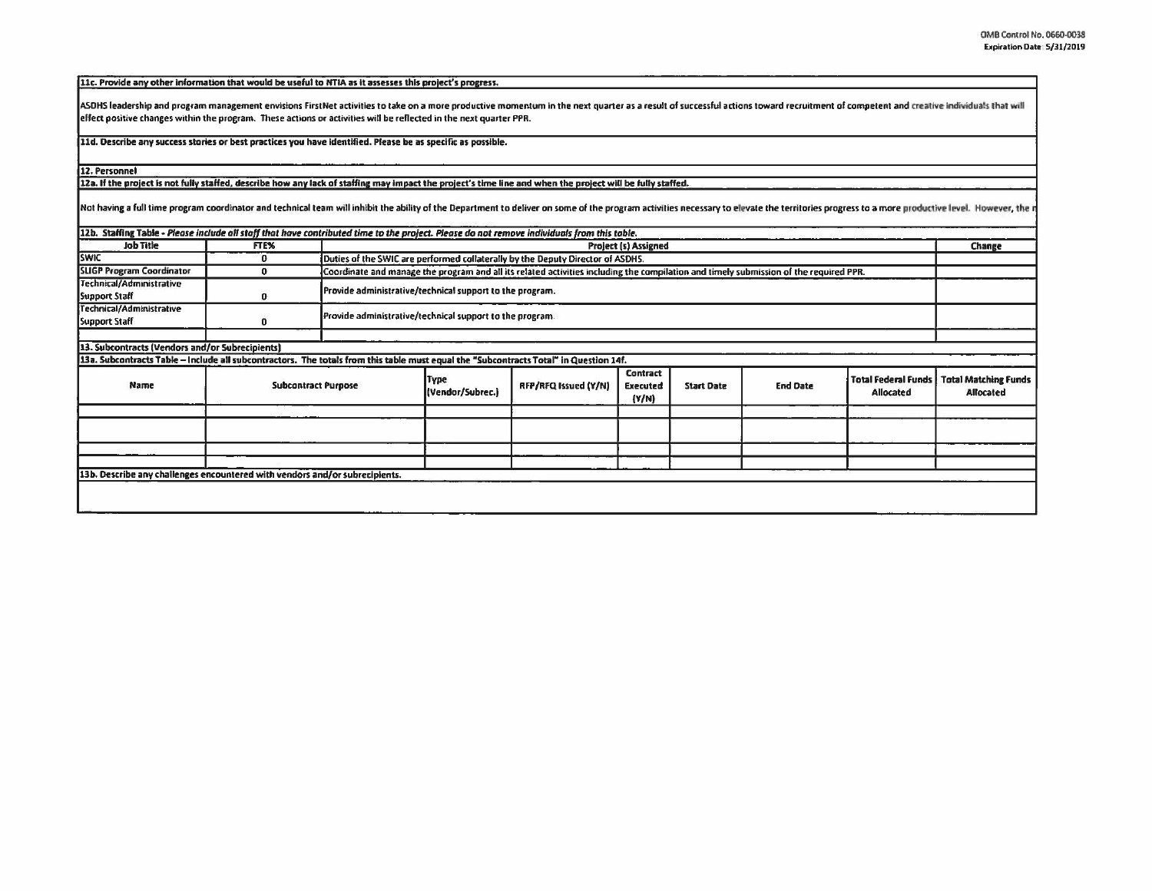[11c. Provide any other information that would be useful to NTIA as it assesses this project's progress.

ASDHS leadership and program management envisions FirstNet activities to take on a more productive momentum in the next quarter as a result of successful actions toward recruitment of competent and creative individuals tha effect positive changes within the program. These actions or activilles will be reflected in the next quarter PPR.

11d. Describe any success stories or best practices you have identified. Please be as specific as possible.

12. Personnel

12a. If the project is not fully staffed, describe how any lack of staffing may impact the project's time line and when the project will be fully staffed.

Not having a full time program coordinator and technical team will inhibit the ability of the Department to deliver on some of the program activities necessary to elevate the territories progress to a more productive level

| FTE%                       |                                                 | Project (s) Assigned                                                           |                      |                                      |                                                                                                                                                                                                                                                                                      |                 |                                         | Change                                                                                                                                |
|----------------------------|-------------------------------------------------|--------------------------------------------------------------------------------|----------------------|--------------------------------------|--------------------------------------------------------------------------------------------------------------------------------------------------------------------------------------------------------------------------------------------------------------------------------------|-----------------|-----------------------------------------|---------------------------------------------------------------------------------------------------------------------------------------|
| $\Omega$                   |                                                 | Duties of the SWIC are performed collaterally by the Deputy Director of ASDHS. |                      |                                      |                                                                                                                                                                                                                                                                                      |                 |                                         |                                                                                                                                       |
| $\mathbf o$                |                                                 |                                                                                |                      |                                      |                                                                                                                                                                                                                                                                                      |                 |                                         |                                                                                                                                       |
|                            |                                                 | Provide administrative/technical support to the program.                       |                      |                                      |                                                                                                                                                                                                                                                                                      |                 |                                         |                                                                                                                                       |
| $\mathbf{0}$               |                                                 | Provide administrative/technical support to the program.                       |                      |                                      |                                                                                                                                                                                                                                                                                      |                 |                                         |                                                                                                                                       |
|                            |                                                 |                                                                                |                      |                                      |                                                                                                                                                                                                                                                                                      |                 |                                         |                                                                                                                                       |
|                            |                                                 |                                                                                |                      |                                      |                                                                                                                                                                                                                                                                                      |                 |                                         |                                                                                                                                       |
| <b>Subcontract Purpose</b> |                                                 | <b>Type</b><br>(Vendor/Subrec.)                                                | RFP/RFQ Issued (Y/N) | Contract<br><b>Executed</b><br>(Y/N) | <b>Start Date</b>                                                                                                                                                                                                                                                                    | <b>End Date</b> | <b>Total Federal Funds</b><br>Allocated | <b>Total Matching Funds</b><br><b>Allocated</b>                                                                                       |
|                            |                                                 |                                                                                |                      |                                      |                                                                                                                                                                                                                                                                                      |                 |                                         |                                                                                                                                       |
|                            | 13. Subcontracts (Vendors and/or Subrecipients) | 13b. Describe any challenges encountered with vendors and/or subrecipients.    |                      |                                      | 12b. Staffing Table - Please include all staff that have contributed time to the project. Please do not remove individuals from this table.<br>13a. Subcontracts Table - Include all subcontractors. The totals from this table must equal the "Subcontracts Total" in Question 14f. |                 |                                         | Coordinate and manage the program and all its related activities including the compilation and timely submission of the required PPR. |